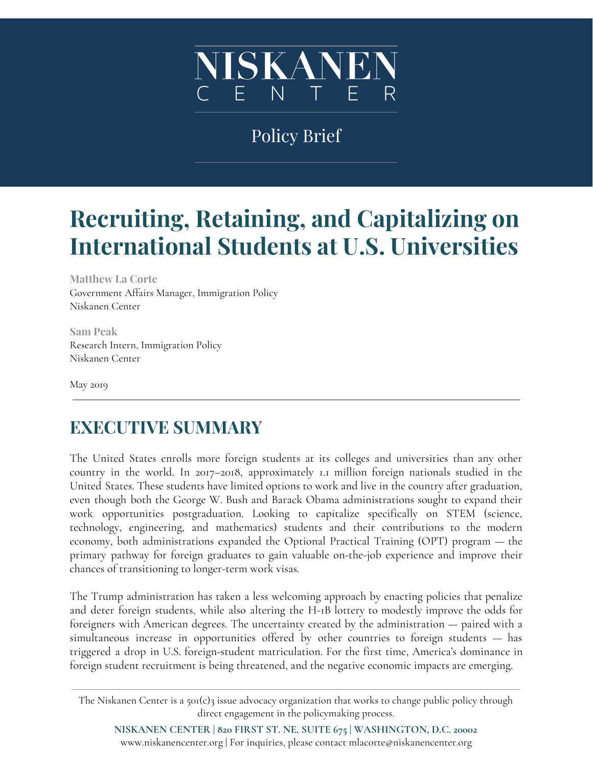

## Policy Brief

# **Recruiting, Retaining, and Capitalizing on International Students at U.S. Universities**

**Matthew La Corte** Government Affairs Manager, Immigration Policy Niskanen Center

**Sam Peak** Research Intern, Immigration Policy Niskanen Center

May 2019

### **EXECUTIVE SUMMARY**

The United States enrolls more foreign students at its colleges and universities than any other country in the world. In 2017–2018, approximately 1.1 million foreign nationals studied in the United States. These students have limited options to work and live in the country after graduation, even though both the George W. Bush and Barack Obama administrations sought to expand their work opportunities postgraduation. Looking to capitalize specifically on STEM (science, technology, engineering, and mathematics) students and their contributions to the modern economy, both administrations expanded the Optional Practical Training (OPT) program — the primary pathway for foreign graduates to gain valuable on-the-job experience and improve their chances of transitioning to longer-term work visas.

The Trump administration has taken a less welcoming approach by enacting policies that penalize and deter foreign students, while also altering the H-1B lottery to modestly improve the odds for foreigners with American degrees. The uncertainty created by the administration — paired with a simultaneous increase in opportunities offered by other countries to foreign students — has triggered a drop in U.S. foreign-student matriculation. For the first time, America's dominance in foreign student recruitment is being threatened, and the negative economic impacts are emerging.

The Niskanen Center is a 501(c)3 issue advocacy organization that works to change public policy through direct engagement in the policymaking process.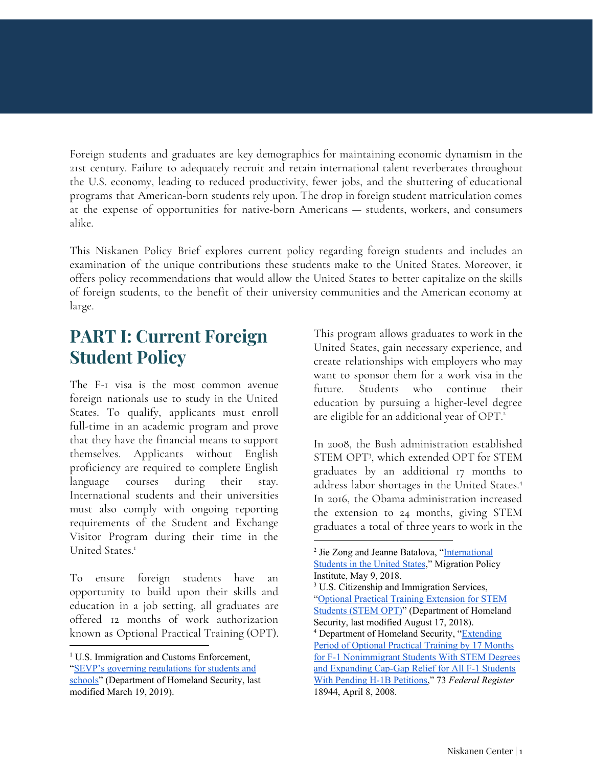Foreign students and graduates are key demographics for maintaining economic dynamism in the 21st century. Failure to adequately recruit and retain international talent reverberates throughout the U.S. economy, leading to reduced productivity, fewer jobs, and the shuttering of educational programs that American-born students rely upon. The drop in foreign student matriculation comes at the expense of opportunities for native-born Americans — students, workers, and consumers alike.

This Niskanen Policy Brief explores current policy regarding foreign students and includes an examination of the unique contributions these students make to the United States. Moreover, it offers policy recommendations that would allow the United States to better capitalize on the skills of foreign students, to the benefit of their university communities and the American economy at large.

### **PART I: Current Foreign Student Policy**

The F-1 visa is the most common avenue foreign nationals use to study in the United States. To qualify, applicants must enroll full-time in an academic program and prove that they have the financial means to support themselves. Applicants without English proficiency are required to complete English language courses during their stay. International students and their universities must also comply with ongoing reporting requirements of the Student and Exchange Visitor Program during their time in the United States. 1

To ensure foreign students have an opportunity to build upon their skills and education in a job setting, all graduates are offered 12 months of work authorization known as Optional Practical Training (OPT). This program allows graduates to work in the United States, gain necessary experience, and create relationships with employers who may want to sponsor them for a work visa in the future. Students who continue their education by pursuing a higher-level degree are eligible for an additional year of OPT. 2

In 2008, the Bush administration established STEM OPT 3 , which extended OPT for STEM graduates by an additional 17 months to address labor shortages in the United States. 4 In 2016, the Obama administration increased the extension to 24 months, giving STEM graduates a total of three years to work in the

<sup>&</sup>lt;sup>1</sup> U.S. Immigration and Customs Enforcement, "SEVP's governing [regulations](https://www.ice.gov/sevis/schools) for students and [schools"](https://www.ice.gov/sevis/schools) (Department of Homeland Security, last modified March 19, 2019).

<sup>&</sup>lt;sup>2</sup> Jie Zong and Jeanne Batalova, ["International](https://www.migrationpolicy.org/article/international-students-united-states) [Students](https://www.migrationpolicy.org/article/international-students-united-states) in the United States," Migration Policy Institute, May 9, 2018.

<sup>&</sup>lt;sup>3</sup> U.S. Citizenship and Immigration Services, "Optional Practical Training [Extension](https://www.uscis.gov/working-united-states/students-and-exchange-visitors/students-and-employment/stem-opt) for STEM [Students](https://www.uscis.gov/working-united-states/students-and-exchange-visitors/students-and-employment/stem-opt) (STEM OPT)" (Department of Homeland Security, last modified August 17, 2018). <sup>4</sup> Department of Homeland Security, "[Extending](https://www.govinfo.gov/content/pkg/FR-2008-04-08/html/E8-7427.htm) Period of [Optional](https://www.govinfo.gov/content/pkg/FR-2008-04-08/html/E8-7427.htm) Practical Training by 17 Months for F-1 [Nonimmigrant](https://www.govinfo.gov/content/pkg/FR-2008-04-08/html/E8-7427.htm) Students With STEM Degrees and [Expanding](https://www.govinfo.gov/content/pkg/FR-2008-04-08/html/E8-7427.htm) Cap-Gap Relief for All F-1 Students With Pending H-1B [Petitions,](https://www.govinfo.gov/content/pkg/FR-2008-04-08/html/E8-7427.htm)" 73 *Federal Register* 18944, April 8, 2008.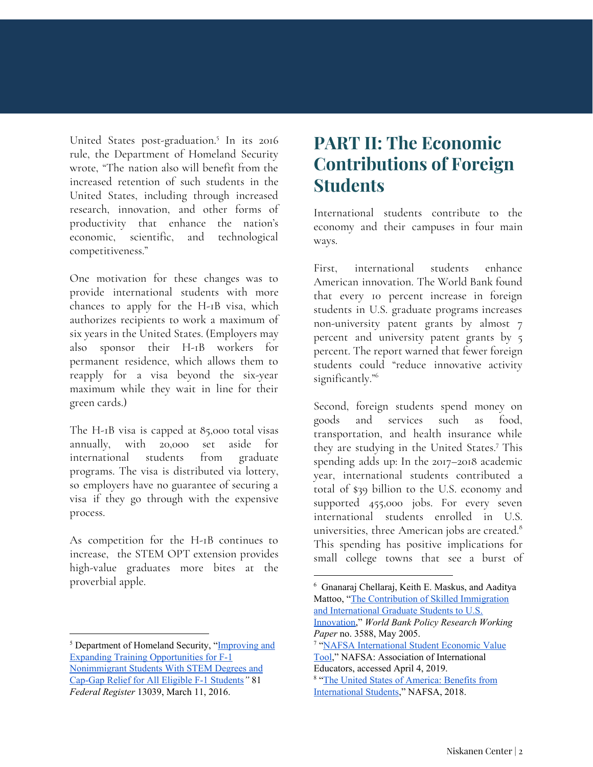United States post-graduation.<sup>5</sup> In its 2016 rule, the Department of Homeland Security wrote, "The nation also will benefit from the increased retention of such students in the United States, including through increased research, innovation, and other forms of productivity that enhance the nation's economic, scientific, and technological competitiveness."

One motivation for these changes was to provide international students with more chances to apply for the H-1B visa, which authorizes recipients to work a maximum of six years in the United States. (Employers may also sponsor their H-1B workers for permanent residence, which allows them to reapply for a visa beyond the six-year maximum while they wait in line for their green cards.)

The H-1B visa is capped at 85,000 total visas annually, with 20,000 set aside for international students from graduate programs. The visa is distributed via lottery, so employers have no guarantee of securing a visa if they go through with the expensive process.

As competition for the H-1B continues to increase, the STEM OPT extension provides high-value graduates more bites at the proverbial apple.

### **PART II: The Economic Contributions of Foreign Students**

International students contribute to the economy and their campuses in four main ways.

First, international students enhance American innovation. The World Bank found that every 10 percent increase in foreign students in U.S. graduate programs increases non-university patent grants by almost 7 percent and university patent grants by 5 percent. The report warned that fewer foreign students could "reduce innovative activity significantly." 6

Second, foreign students spend money on goods and services such as food, transportation, and health insurance while they are studying in the United States.<sup>7</sup> This spending adds up: In the 2017–2018 academic year, international students contributed a total of \$39 billion to the U.S. economy and supported 455,000 jobs. For every seven international students enrolled in U.S. universities, three American jobs are created. 8 This spending has positive implications for small college towns that see a burst of

<sup>&</sup>lt;sup>5</sup> Department of Homeland Security, "[Improving](https://www.federalregister.gov/documents/2016/03/11/2016-04828/improving-and-expanding-training-opportunities-for-f-1-nonimmigrant-students-with-stem-degrees-and) and Expanding Training [Opportunities](https://www.federalregister.gov/documents/2016/03/11/2016-04828/improving-and-expanding-training-opportunities-for-f-1-nonimmigrant-students-with-stem-degrees-and) for F-1 [Nonimmigrant](https://www.federalregister.gov/documents/2016/03/11/2016-04828/improving-and-expanding-training-opportunities-for-f-1-nonimmigrant-students-with-stem-degrees-and) Students With STEM Degrees and [Cap-Gap](https://www.federalregister.gov/documents/2016/03/11/2016-04828/improving-and-expanding-training-opportunities-for-f-1-nonimmigrant-students-with-stem-degrees-and) Relief for All Eligible F-1 Students*"* 81 *Federal Register* 13039, March 11, 2016.

<sup>6</sup> Gnanaraj Chellaraj, Keith E. Maskus, and Aaditya Mattoo, "The [Contribution](https://papers.ssrn.com/sol3/papers.cfm?abstract_id=744625) of Skilled Immigration and [International](https://papers.ssrn.com/sol3/papers.cfm?abstract_id=744625) Graduate Students to U.S. [Innovation,](https://papers.ssrn.com/sol3/papers.cfm?abstract_id=744625)" *World Bank Policy Research Working Paper* no. 3588, May 2005.

<sup>7</sup> "NAFSA [International](http://www.nafsa.org/Policy_and_Advocacy/Policy_Resources/Policy_Trends_and_Data/NAFSA_International_Student_Economic_Value_Tool/) Student Economic Value [Tool,](http://www.nafsa.org/Policy_and_Advocacy/Policy_Resources/Policy_Trends_and_Data/NAFSA_International_Student_Economic_Value_Tool/)" NAFSA: Association of International Educators, accessed April 4, 2019.

<sup>8</sup> "The United States of [America:](http://www.nafsa.org/_/File/_/econvalue_2018.pdf) Benefits from [International](http://www.nafsa.org/_/File/_/econvalue_2018.pdf) Students," NAFSA, 2018.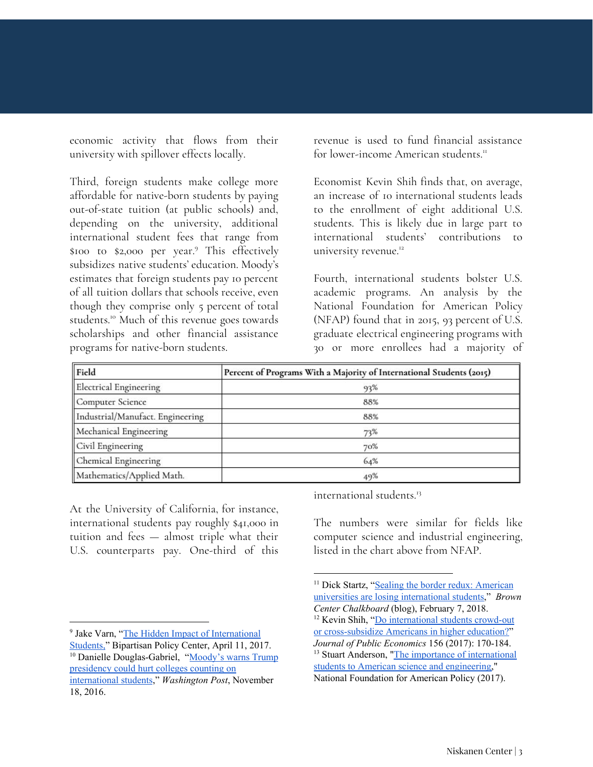economic activity that flows from their university with spillover effects locally.

Third, foreign students make college more affordable for native-born students by paying out-of-state tuition (at public schools) and, depending on the university, additional international student fees that range from \$100 to \$2,000 per year.<sup>9</sup> This effectively subsidizes native students' education. Moody's estimates that foreign students pay 10 percent of all tuition dollars that schools receive, even though they comprise only 5 percent of total students.<sup>10</sup> Much of this revenue goes towards scholarships and other financial assistance programs for native-born students.

revenue is used to fund financial assistance for lower-income American students.<sup>11</sup>

Economist Kevin Shih finds that, on average, an increase of 10 international students leads to the enrollment of eight additional U.S. students. This is likely due in large part to international students' contributions to university revenue.<sup>12</sup>

Fourth, international students bolster U.S. academic programs. An analysis by the National Foundation for American Policy (NFAP) found that in 2015, 93 percent of U.S. graduate electrical engineering programs with 30 or more enrollees had a majority of

| Field                            | Percent of Programs With a Majority of International Students (2015) |
|----------------------------------|----------------------------------------------------------------------|
| <b>Electrical Engineering</b>    | 93%                                                                  |
| Computer Science                 | 88%                                                                  |
| Industrial/Manufact. Engineering | 88%                                                                  |
| Mechanical Engineering           | 73%                                                                  |
| Civil Engineering                | 70%                                                                  |
| Chemical Engineering             | 64%                                                                  |
| Mathematics/Applied Math.        | 49%                                                                  |

At the University of California, for instance, international students pay roughly \$41,000 in tuition and fees — almost triple what their U.S. counterparts pay. One-third of this

international students. 13

The numbers were similar for fields like computer science and industrial engineering, listed in the chart above from NFAP.

<sup>&</sup>lt;sup>9</sup> Jake Varn, "The Hidden Impact of [International](https://bipartisanpolicy.org/blog/the-hidden-impact-of-international-students/)

[Students,"](https://bipartisanpolicy.org/blog/the-hidden-impact-of-international-students/) Bipartisan Policy Center, April 11, 2017.

<sup>&</sup>lt;sup>10</sup> Danielle Douglas-Gabriel, "[Moody's](https://www.washingtonpost.com/news/grade-point/wp/2016/11/18/moodys-warns-trump-presidency-could-hurt-colleges-counting-on-international-students/?noredirect=on&utm_term=.dfd50a0cebd3) warns Trump [presidency](https://www.washingtonpost.com/news/grade-point/wp/2016/11/18/moodys-warns-trump-presidency-could-hurt-colleges-counting-on-international-students/?noredirect=on&utm_term=.dfd50a0cebd3) could hurt colleges counting on [international](https://www.washingtonpost.com/news/grade-point/wp/2016/11/18/moodys-warns-trump-presidency-could-hurt-colleges-counting-on-international-students/?noredirect=on&utm_term=.dfd50a0cebd3) students," *Washington Post*, November 18, 2016.

<sup>&</sup>lt;sup>11</sup> Dick Startz, "Sealing the border redux: [American](https://www.brookings.edu/blog/brown-center-chalkboard/2018/02/07/sealing-the-border-redux-american-universities-are-losing-international-students/) universities are losing [international](https://www.brookings.edu/blog/brown-center-chalkboard/2018/02/07/sealing-the-border-redux-american-universities-are-losing-international-students/) students," *Brown Center Chalkboard* (blog), February 7, 2018. <sup>12</sup> Kevin Shih, "Do [international](https://doi.org/10.1016/j.jpubeco.2017.10.003) students crowd-out or [cross-subsidize](https://doi.org/10.1016/j.jpubeco.2017.10.003) Americans in higher education?" *Journal of Public Economics* 156 (2017): 170-184. <sup>13</sup> Stuart Anderson, "The importance of [international](https://nfap.com/wp-content/uploads/2017/10/The-Importance-of-International-Students.NFAP-Policy-Brief.October-20171.pdf) students to American science and [engineering,](https://nfap.com/wp-content/uploads/2017/10/The-Importance-of-International-Students.NFAP-Policy-Brief.October-20171.pdf)" National Foundation for American Policy (2017).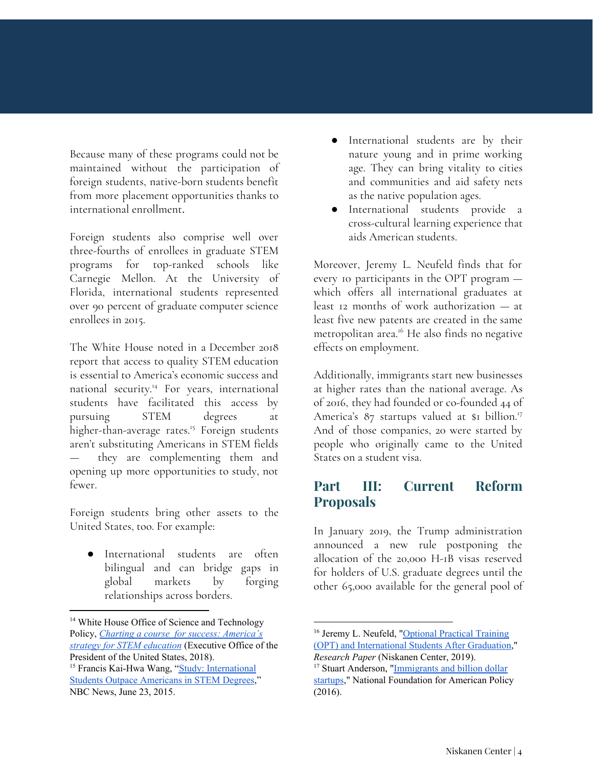Because many of these programs could not be maintained without the participation of foreign students, native-born students benefit from more placement opportunities thanks to international enrollment.

Foreign students also comprise well over three-fourths of enrollees in graduate STEM programs for top-ranked schools like Carnegie Mellon. At the University of Florida, international students represented over 90 percent of graduate computer science enrollees in 2015.

The White House noted in a December 2018 report that access to quality STEM education is essential to America's economic success and national security.<sup>14</sup> For years, international students have facilitated this access by pursuing STEM degrees at higher-than-average rates.<sup>15</sup> Foreign students aren't substituting Americans in STEM fields they are complementing them and opening up more opportunities to study, not fewer.

Foreign students bring other assets to the United States, too. For example:

International students are often bilingual and can bridge gaps in global markets by forging relationships across borders.

- International students are by their nature young and in prime working age. They can bring vitality to cities and communities and aid safety nets as the native population ages.
- International students provide a cross-cultural learning experience that aids American students.

Moreover, Jeremy L. Neufeld finds that for every 10 participants in the OPT program which offers all international graduates at least 12 months of work authorization — at least five new patents are created in the same metropolitan area.<sup>16</sup> He also finds no negative effects on employment.

Additionally, immigrants start new businesses at higher rates than the national average. As of 2016, they had founded or co-founded 44 of America's 87 startups valued at \$1 billion.<sup>17</sup> And of those companies, 20 were started by people who originally came to the United States on a student visa.

#### **Part III: Current Reform Proposals**

In January 2019, the Trump administration announced a new rule postponing the allocation of the 20,000 H-1B visas reserved for holders of U.S. graduate degrees until the other 65,000 available for the general pool of

<sup>&</sup>lt;sup>14</sup> White House Office of Science and Technology Policy, *Charting a course for success: [America's](https://www.whitehouse.gov/wp-content/uploads/2018/12/STEM-Education-Strategic-Plan-2018.pdf) strategy for STEM [education](https://www.whitehouse.gov/wp-content/uploads/2018/12/STEM-Education-Strategic-Plan-2018.pdf)* (Executive Office of the President of the United States, 2018).

<sup>&</sup>lt;sup>15</sup> Francis Kai-Hwa Wang, "Study: [International](https://www.nbcnews.com/news/asian-america/china-india-top-list-international-students-america-n378521) Students Outpace [Americans](https://www.nbcnews.com/news/asian-america/china-india-top-list-international-students-america-n378521) in STEM Degrees," NBC News, June 23, 2015.

<sup>&</sup>lt;sup>16</sup> Jeremy L. Neufeld, ["Optional](https://niskanencenter.org/wp-content/uploads/2019/03/OPT.pdf) Practical Training (OPT) and [International](https://niskanencenter.org/wp-content/uploads/2019/03/OPT.pdf) Students After Graduation," *Research Paper* (Niskanen Center, 2019).

<sup>&</sup>lt;sup>17</sup> Stuart Anderson, "*Immigrants and billion dollar* [startups](https://nfap.com/wp-content/uploads/2016/03/Immigrants-and-Billion-Dollar-Startups.NFAP-Policy-Brief.March-2016.pdf)," National Foundation for American Policy (2016).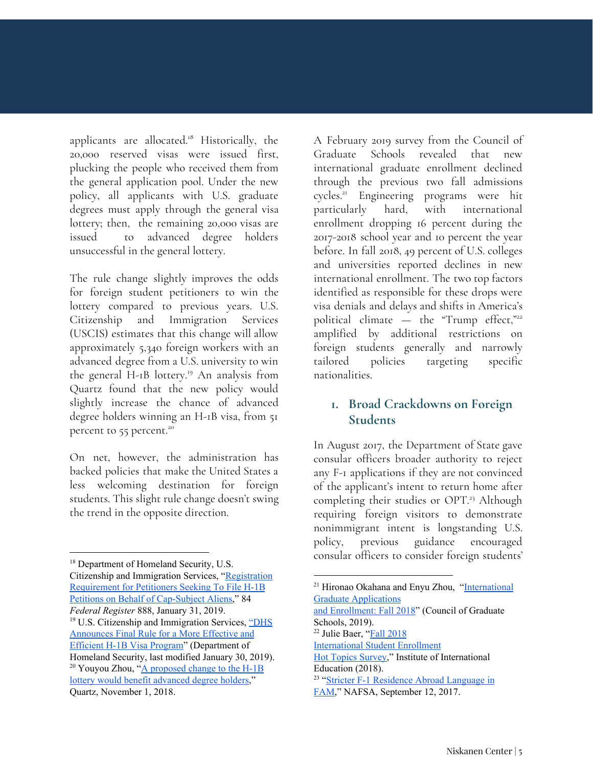applicants are allocated.<sup>18</sup> Historically, the 20,000 reserved visas were issued first, plucking the people who received them from the general application pool. Under the new policy, all applicants with U.S. graduate degrees must apply through the general visa lottery; then, the remaining 20,000 visas are issued to advanced degree holders unsuccessful in the general lottery.

The rule change slightly improves the odds for foreign student petitioners to win the lottery compared to previous years. U.S. Citizenship and Immigration Services (USCIS) estimates that this change will allow approximately 5,340 foreign workers with an advanced degree from a U.S. university to win the general H-1B lottery. <sup>19</sup> An analysis from Quartz found that the new policy would slightly increase the chance of advanced degree holders winning an H-1B visa, from 51 percent to 55 percent.<sup>20</sup>

On net, however, the administration has backed policies that make the United States a less welcoming destination for foreign students. This slight rule change doesn't swing the trend in the opposite direction.

<sup>18</sup> Department of Homeland Security, U.S. Citizenship and Immigration Services, ["Registration](https://www.federalregister.gov/documents/2019/01/31/2019-00302/registration-requirement-for-petitioners-seeking-to-file-h-1b-petitions-on-behalf-of-cap-subject) [Requirement](https://www.federalregister.gov/documents/2019/01/31/2019-00302/registration-requirement-for-petitioners-seeking-to-file-h-1b-petitions-on-behalf-of-cap-subject) for Petitioners Seeking To File H-1B Petitions on Behalf of [Cap-Subject](https://www.federalregister.gov/documents/2019/01/31/2019-00302/registration-requirement-for-petitioners-seeking-to-file-h-1b-petitions-on-behalf-of-cap-subject) Aliens," 84 *Federal Register* 888, January 31, 2019. <sup>19</sup> U.S. Citizenship and Immigration Services, ["DHS](https://www.uscis.gov/news/news-releases/dhs-announces-final-rule-a-more-effective-and-efficient-h-1b-visa-program) [Announces](https://www.uscis.gov/news/news-releases/dhs-announces-final-rule-a-more-effective-and-efficient-h-1b-visa-program) Final Rule for a More Effective and Efficient H-1B Visa [Program"](https://www.uscis.gov/news/news-releases/dhs-announces-final-rule-a-more-effective-and-efficient-h-1b-visa-program) (Department of Homeland Security, last modified January 30, 2019). <sup>20</sup> Youyou Zhou, " $\underline{A}$  [proposed](https://qz.com/1446836/usciss-proposed-change-to-the-h-1b-lottery-would-benefit-advanced-degree-holders/) change to the H-1B lottery would benefit [advanced](https://qz.com/1446836/usciss-proposed-change-to-the-h-1b-lottery-would-benefit-advanced-degree-holders/) degree holders," Quartz, November 1, 2018.

A February 2019 survey from the Council of Graduate Schools revealed that new international graduate enrollment declined through the previous two fall admissions cycles.<sup>21</sup> Engineering programs were hit particularly hard, with international enrollment dropping 16 percent during the 2017-2018 school year and 10 percent the year before. In fall 2018, 49 percent of U.S. colleges and universities reported declines in new international enrollment. The two top factors identified as responsible for these drops were visa denials and delays and shifts in America's political climate — the "Trump effect," 22 amplified by additional restrictions on foreign students generally and narrowly tailored policies targeting specific nationalities.

#### **1. Broad Crackdowns on Foreign Students**

In August 2017, the Department of State gave consular officers broader authority to reject any F-1 applications if they are not convinced of the applicant's intent to return home after completing their studies or OPT.<sup>23</sup> Although requiring foreign visitors to demonstrate nonimmigrant intent is longstanding U.S. policy, previous guidance encouraged consular officers to consider foreign students'

<sup>21</sup> Hironao Okahana and Enyu Zhou, ["International](https://www.cgsnet.org/ckfinder/userfiles/files/Intl_Survey_Report_Fall2018.pdf) Graduate [Applications](https://www.cgsnet.org/ckfinder/userfiles/files/Intl_Survey_Report_Fall2018.pdf) and [Enrollment:](https://www.cgsnet.org/ckfinder/userfiles/files/Intl_Survey_Report_Fall2018.pdf) Fall 2018" (Council of Graduate Schools, 2019). <sup>22</sup> Julie Baer, "Fall [2018](https://www.iie.org/Research-and-Insights/Open-Doors/Data/Fall-International-Enrollments-Snapshot-Reports) [International](https://www.iie.org/Research-and-Insights/Open-Doors/Data/Fall-International-Enrollments-Snapshot-Reports) Student Enrollment Hot Topics [Survey,](https://www.iie.org/Research-and-Insights/Open-Doors/Data/Fall-International-Enrollments-Snapshot-Reports)" Institute of International Education (2018). <sup>23</sup> "Stricter F-1 [Residence](https://www.nafsa.org/Professional_Resources/Browse_by_Interest/International_Students_and_Scholars/Stricter_F-1_Residence_Abroad_Language_in_FAM/) Abroad Language in

[FAM,](https://www.nafsa.org/Professional_Resources/Browse_by_Interest/International_Students_and_Scholars/Stricter_F-1_Residence_Abroad_Language_in_FAM/)" NAFSA, September 12, 2017.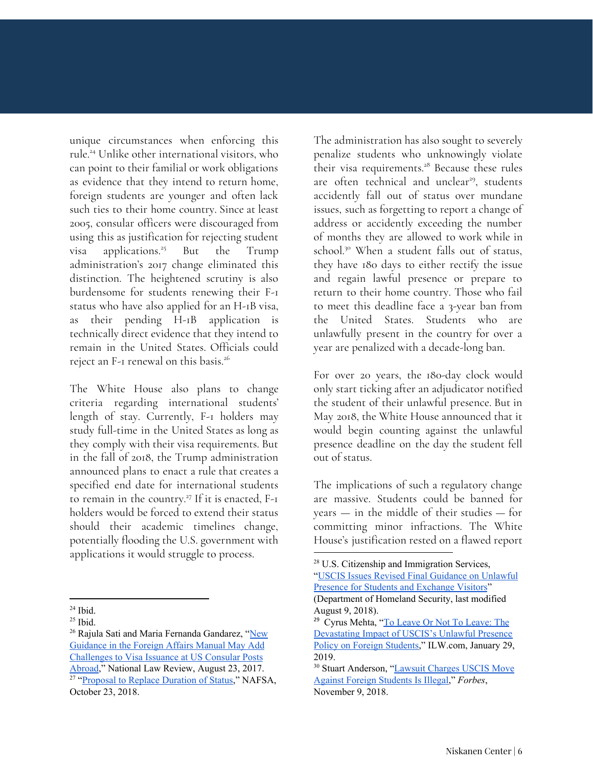unique circumstances when enforcing this rule.<sup>24</sup> Unlike other international visitors, who can point to their familial or work obligations as evidence that they intend to return home, foreign students are younger and often lack such ties to their home country. Since at least 2005, consular officers were discouraged from using this as justification for rejecting student visa applications.<sup>25</sup> But the Trump administration's 2017 change eliminated this distinction. The heightened scrutiny is also burdensome for students renewing their F-1 status who have also applied for an H-1B visa, as their pending H-1B application is technically direct evidence that they intend to remain in the United States. Officials could reject an F-1 renewal on this basis. 26

The White House also plans to change criteria regarding international students' length of stay. Currently, F-1 holders may study full-time in the United States as long as they comply with their visa requirements. But in the fall of 2018, the Trump administration announced plans to enact a rule that creates a specified end date for international students to remain in the country.<sup>27</sup> If it is enacted, F-1 holders would be forced to extend their status should their academic timelines change, potentially flooding the U.S. government with applications it would struggle to process.

The administration has also sought to severely penalize students who unknowingly violate their visa requirements.<sup>28</sup> Because these rules are often technical and unclear<sup>29</sup>, students accidently fall out of status over mundane issues, such as forgetting to report a change of address or accidently exceeding the number of months they are allowed to work while in school.<sup>30</sup> When a student falls out of status, they have 180 days to either rectify the issue and regain lawful presence or prepare to return to their home country. Those who fail to meet this deadline face a 3-year ban from the United States. Students who are unlawfully present in the country for over a year are penalized with a decade-long ban.

For over 20 years, the 180-day clock would only start ticking after an adjudicator notified the student of their unlawful presence. But in May 2018, the White House announced that it would begin counting against the unlawful presence deadline on the day the student fell out of status.

The implications of such a regulatory change are massive. Students could be banned for years — in the middle of their studies — for committing minor infractions. The White House's justification rested on a flawed report

 $24$  Ibid.

 $25$  Ibid.

<sup>&</sup>lt;sup>26</sup> Rajula Sati and Maria Fernanda Gandarez, "[New](https://www.natlawreview.com/article/new-guidance-foreign-affairs-manual-may-add-challenges-to-visa-issuance-us-consular) [Guidance](https://www.natlawreview.com/article/new-guidance-foreign-affairs-manual-may-add-challenges-to-visa-issuance-us-consular) in the Foreign Affairs Manual May Add [Challenges](https://www.natlawreview.com/article/new-guidance-foreign-affairs-manual-may-add-challenges-to-visa-issuance-us-consular) to Visa Issuance at US Consular Posts [Abroad,](https://www.natlawreview.com/article/new-guidance-foreign-affairs-manual-may-add-challenges-to-visa-issuance-us-consular)" National Law Review, August 23, 2017. <sup>27</sup> "Proposal to Replace [Duration](https://www.nafsa.org/Professional_Resources/Browse_by_Interest/International_Students_and_Scholars/Proposal_to_Replace_Duration_of_Status/) of Status," NAFSA,

October 23, 2018.

<sup>28</sup> U.S. Citizenship and Immigration Services, "USCIS Issues Revised Final [Guidance](https://www.uscis.gov/news/uscis-issues-revised-final-guidance-unlawful-presence-students-and-exchange-visitors) on Unlawful

Presence for Students and [Exchange](https://www.uscis.gov/news/uscis-issues-revised-final-guidance-unlawful-presence-students-and-exchange-visitors) Visitors" (Department of Homeland Security, last modified

August 9, 2018).

<sup>&</sup>lt;sup>29</sup> Cyrus Mehta, "To Leave Or Not To [Leave:](http://discuss.ilw.com/articles/articles/389987-article-to-leave-or-not-to-leave-the-devastating-impact-of-uscis%E2%80%99s-unlawful-presence-policy-on-foreign-students-by-cyrus-mehta) The [Devastating](http://discuss.ilw.com/articles/articles/389987-article-to-leave-or-not-to-leave-the-devastating-impact-of-uscis%E2%80%99s-unlawful-presence-policy-on-foreign-students-by-cyrus-mehta) Impact of USCIS's Unlawful Presence Policy on Foreign [Students,](http://discuss.ilw.com/articles/articles/389987-article-to-leave-or-not-to-leave-the-devastating-impact-of-uscis%E2%80%99s-unlawful-presence-policy-on-foreign-students-by-cyrus-mehta)" ILW.com, January 29, 2019.

<sup>&</sup>lt;sup>30</sup> Stuart Anderson, "Lawsuit [Charges](https://www.forbes.com/sites/stuartanderson/2018/11/09/lawsuit-charges-uscis-move-against-foreign-students-is-illegal/#7a55e9a32f88) USCIS Move Against Foreign [Students](https://www.forbes.com/sites/stuartanderson/2018/11/09/lawsuit-charges-uscis-move-against-foreign-students-is-illegal/#7a55e9a32f88) Is Illegal," *Forbes*, November 9, 2018.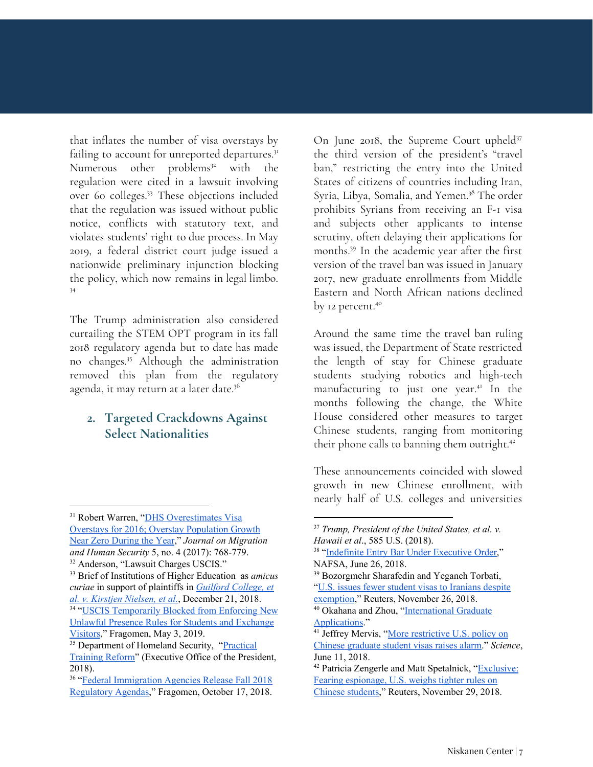that inflates the number of visa overstays by failing to account for unreported departures.<sup>31</sup> Numerous other problems<sup>32</sup> with the regulation were cited in a lawsuit involving over 60 colleges.<sup>33</sup> These objections included that the regulation was issued without public notice, conflicts with statutory text, and violates students' right to due process. In May 2019, a federal district court judge issued a nationwide preliminary injunction blocking the policy, which now remains in legal limbo. 34

The Trump administration also considered curtailing the STEM OPT program in its fall 2018 regulatory agenda but to date has made no changes.<sup>35</sup> Although the administration removed this plan from the regulatory agenda, it may return at a later date. 36

#### **2. Targeted Crackdowns Against Select Nationalities**

On June 2018, the Supreme Court upheld<sup>37</sup> the third version of the president's "travel ban," restricting the entry into the United States of citizens of countries including Iran, Syria, Libya, Somalia, and Yemen.<sup>38</sup> The order prohibits Syrians from receiving an F-1 visa and subjects other applicants to intense scrutiny, often delaying their applications for months.<sup>39</sup> In the academic year after the first version of the travel ban was issued in January 2017, new graduate enrollments from Middle Eastern and North African nations declined by 12 percent. 40

Around the same time the travel ban ruling was issued, the Department of State restricted the length of stay for Chinese graduate students studying robotics and high-tech manufacturing to just one year.<sup>41</sup> In the months following the change, the White House considered other measures to target Chinese students, ranging from monitoring their phone calls to banning them outright.<sup>42</sup>

These announcements coincided with slowed growth in new Chinese enrollment, with nearly half of U.S. colleges and universities

<sup>&</sup>lt;sup>31</sup> Robert Warren, "**DHS [Overestimates](https://journals.sagepub.com/doi/10.1177/233150241700500403) Visa** Overstays for 2016; Overstay [Population](https://journals.sagepub.com/doi/10.1177/233150241700500403) Growth Near Zero [During](https://journals.sagepub.com/doi/10.1177/233150241700500403) the Year," *Journal on Migration and Human Security* 5, no. 4 (2017): 768-779.

<sup>&</sup>lt;sup>32</sup> Anderson, "Lawsuit Charges USCIS."

<sup>33</sup> Brief of Institutions of Higher Education as *amicus curiae* in support of plaintiffs in *[Guilford](https://www.presidentsimmigrationalliance.org/wp-content/uploads/2018/12/ULP-Brief-Amici-Curiae-12.21.18.pdf) College, et al. v. Kirstjen [Nielsen,](https://www.presidentsimmigrationalliance.org/wp-content/uploads/2018/12/ULP-Brief-Amici-Curiae-12.21.18.pdf) et al.*, December 21, 2018. <sup>34</sup> "USCIS [Temporarily](https://www.fragomen.com/insights/alerts/uscis-temporarily-blocked-enforcing-new-unlawful-presence-rules-students-and-exchange-visitors) Blocked from Enforcing New Unlawful Presence Rules for Students and [Exchange](https://www.fragomen.com/insights/alerts/uscis-temporarily-blocked-enforcing-new-unlawful-presence-rules-students-and-exchange-visitors) [Visitors,](https://www.fragomen.com/insights/alerts/uscis-temporarily-blocked-enforcing-new-unlawful-presence-rules-students-and-exchange-visitors)" Fragomen, May 3, 2019.

<sup>&</sup>lt;sup>35</sup> Department of Homeland Security, ["Practical](https://www.reginfo.gov/public/do/eAgendaViewRule?pubId=201810&RIN=1653-AA76) [Training](https://www.reginfo.gov/public/do/eAgendaViewRule?pubId=201810&RIN=1653-AA76) Reform" (Executive Office of the President, 2018).

<sup>&</sup>lt;sup>36</sup> "Federal [Immigration](https://www.fragomen.com/insights/alerts/federal-immigration-agencies-release-fall-2018-regulatory-agendas) Agencies Release Fall 2018 [Regulatory](https://www.fragomen.com/insights/alerts/federal-immigration-agencies-release-fall-2018-regulatory-agendas) Agendas," Fragomen, October 17, 2018.

<sup>37</sup> *Trump, [President](https://supreme.justia.com/cases/federal/us/585/17-965/) of the United States, et al. v. [Hawaii](https://supreme.justia.com/cases/federal/us/585/17-965/) et al*[.,](https://supreme.justia.com/cases/federal/us/585/17-965/) 585 U.S. (2018).

<sup>&</sup>lt;sup>38</sup> "Indefinite Entry Bar Under [Executive](https://www.nafsa.org/Professional_Resources/Browse_by_Interest/International_Students_and_Scholars/Indefinite_Entry_Bar_Under_Executive_Order/) Order," NAFSA, June 26, 2018.

<sup>39</sup> Bozorgmehr Sharafedin and Yeganeh Torbati, "U.S. issues fewer student visas to [Iranians](https://www.reuters.com/article/us-iran-usa-students/u-s-issues-fewer-student-visas-to-iranians-despite-exemption-idUSKCN1NV0D2) despite

[exemption](https://www.reuters.com/article/us-iran-usa-students/u-s-issues-fewer-student-visas-to-iranians-despite-exemption-idUSKCN1NV0D2)," Reuters, November 26, 2018.

<sup>&</sup>lt;sup>40</sup> Okahana and Zhou, "[International](https://www.cgsnet.org/ckfinder/userfiles/files/Intl_Survey_Report_Fall2018.pdf) Graduate [Applications](https://www.cgsnet.org/ckfinder/userfiles/files/Intl_Survey_Report_Fall2018.pdf)."

<sup>&</sup>lt;sup>41</sup> Jeffrey Mervis, "More [restrictive](https://www.sciencemag.org/news/2018/06/more-restrictive-us-policy-chinese-graduate-student-visas-raises-alarm) U.S. policy on Chinese [graduate](https://www.sciencemag.org/news/2018/06/more-restrictive-us-policy-chinese-graduate-student-visas-raises-alarm) student visas raises alarm." *Science*, June 11, 2018.

<sup>&</sup>lt;sup>42</sup> Patricia Zengerle and Matt Spetalnick, "[Exclusive:](https://www.reuters.com/article/us-usa-china-students-exclusive/exclusive-fearing-espionage-u-s-weighs-tighter-rules-on-chinese-students-idUSKCN1NY1HE) Fearing [espionage,](https://www.reuters.com/article/us-usa-china-students-exclusive/exclusive-fearing-espionage-u-s-weighs-tighter-rules-on-chinese-students-idUSKCN1NY1HE) U.S. weighs tighter rules on Chinese [students,](https://www.reuters.com/article/us-usa-china-students-exclusive/exclusive-fearing-espionage-u-s-weighs-tighter-rules-on-chinese-students-idUSKCN1NY1HE)" Reuters, November 29, 2018.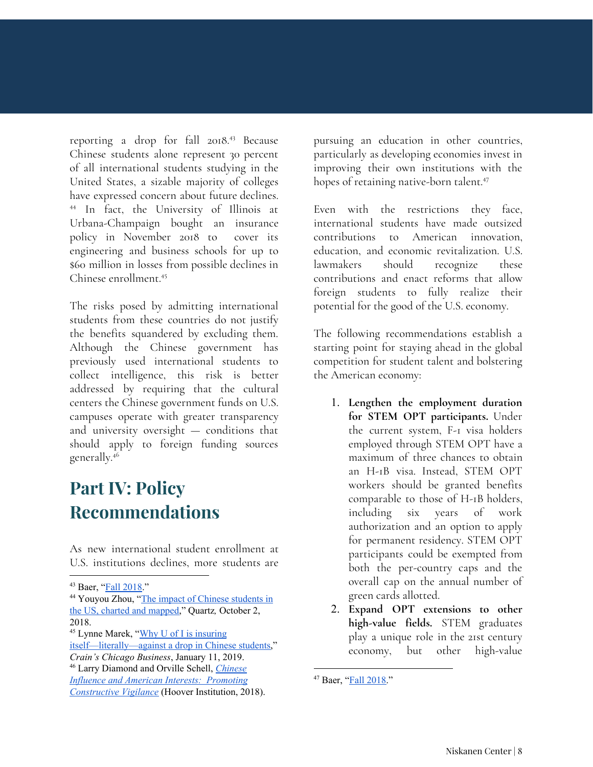reporting a drop for fall 2018.<sup>43</sup> Because Chinese students alone represent 30 percent of all international students studying in the United States, a sizable majority of colleges have expressed concern about future declines. <sup>44</sup> In fact, the University of Illinois at Urbana-Champaign bought an insurance policy in November 2018 to cover its engineering and business schools for up to \$60 million in losses from possible declines in Chinese enrollment. 45

The risks posed by admitting international students from these countries do not justify the benefits squandered by excluding them. Although the Chinese government has previously used international students to collect intelligence, this risk is better addressed by requiring that the cultural centers the Chinese government funds on U.S. campuses operate with greater transparency and university oversight — conditions that should apply to foreign funding sources generally. 46

### **Part IV: Policy Recommendations**

As new international student enrollment at U.S. institutions declines, more students are

pursuing an education in other countries, particularly as developing economies invest in improving their own institutions with the hopes of retaining native-born talent. 47

Even with the restrictions they face, international students have made outsized contributions to American innovation, education, and economic revitalization. U.S. lawmakers should recognize these contributions and enact reforms that allow foreign students to fully realize their potential for the good of the U.S. economy.

The following recommendations establish a starting point for staying ahead in the global competition for student talent and bolstering the American economy:

- 1. **Lengthen the employment duration for STEM OPT participants.** Under the current system, F-1 visa holders employed through STEM OPT have a maximum of three chances to obtain an H-1B visa. Instead, STEM OPT workers should be granted benefits comparable to those of H-1B holders, including six years of work authorization and an option to apply for permanent residency. STEM OPT participants could be exempted from both the per-country caps and the overall cap on the annual number of green cards allotted.
- 2. **Expand OPT extensions to other high-value fields.** STEM graduates play a unique role in the 21st century economy, but other high-value

<sup>43</sup> Baer, "Fall [2018.](https://www.iie.org/Research-and-Insights/Open-Doors/Data/Fall-International-Enrollments-Snapshot-Reports)"

<sup>&</sup>lt;sup>44</sup> Youyou Zhou, "The impact of Chinese [students](https://qz.com/1410768/the-number-of-chinese-students-in-the-us-charted-and-mapped/) in the US, charted and [mapped,](https://qz.com/1410768/the-number-of-chinese-students-in-the-us-charted-and-mapped/)" Quartz*,* October 2, 2018.

<sup>&</sup>lt;sup>45</sup> Lynne Marek, "Why U of I is [insuring](https://www.chicagobusiness.com/education/why-u-i-insuring-itself-literally-against-drop-chinese-students) [itself—literally—against](https://www.chicagobusiness.com/education/why-u-i-insuring-itself-literally-against-drop-chinese-students) a drop in Chinese students," *Crain's Chicago Business*, January 11, 2019.

<sup>46</sup> Larry Diamond and Orville Schell, *[Chinese](https://www.hoover.org/sites/default/files/research/docs/chineseinfluence_americaninterests_fullreport_web.pdf) Influence and American Interests: [Promoting](https://www.hoover.org/sites/default/files/research/docs/chineseinfluence_americaninterests_fullreport_web.pdf) [Constructive](https://www.hoover.org/sites/default/files/research/docs/chineseinfluence_americaninterests_fullreport_web.pdf) Vigilance* (Hoover Institution, 2018).

<sup>&</sup>lt;sup>47</sup> Baer, "Fall [2018.](https://www.iie.org/Research-and-Insights/Open-Doors/Data/Fall-International-Enrollments-Snapshot-Reports)"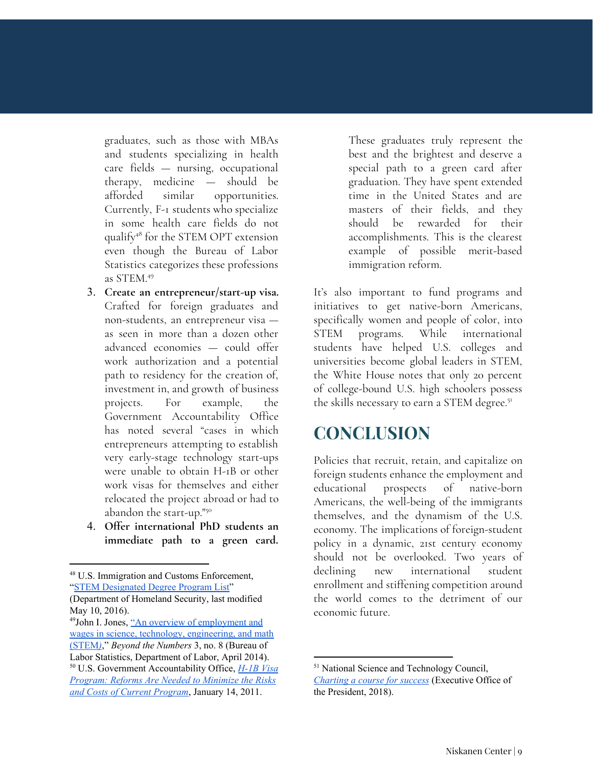graduates, such as those with MBAs and students specializing in health care fields — nursing, occupational therapy, medicine — should be afforded similar opportunities. Currently, F-1 students who specialize in some health care fields do not qualify<sup>48</sup> for the STEM OPT extension even though the Bureau of Labor Statistics categorizes these professions as STEM. 49

- 3. **Create an entrepreneur/start-up visa.** Crafted for foreign graduates and non-students, an entrepreneur visa as seen in more than a dozen other advanced economies — could offer work authorization and a potential path to residency for the creation of, investment in, and growth of business projects. For example, the Government Accountability Office has noted several "cases in which entrepreneurs attempting to establish very early-stage technology start-ups were unable to obtain H-1B or other work visas for themselves and either relocated the project abroad or had to abandon the start-up." 50
- 4. **Offer international PhD students an immediate path to a green card.**

These graduates truly represent the best and the brightest and deserve a special path to a green card after graduation. They have spent extended time in the United States and are masters of their fields, and they should be rewarded for their accomplishments. This is the clearest example of possible merit-based immigration reform.

It's also important to fund programs and initiatives to get native-born Americans, specifically women and people of color, into STEM programs. While international students have helped U.S. colleges and universities become global leaders in STEM, the White House notes that only 20 percent of college-bound U.S. high schoolers possess the skills necessary to earn a STEM degree.<sup>51</sup>

### **CONCLUSION**

Policies that recruit, retain, and capitalize on foreign students enhance the employment and educational prospects of native-born Americans, the well-being of the immigrants themselves, and the dynamism of the U.S. economy. The implications of foreign-student policy in a dynamic, 21st century economy should not be overlooked. Two years of declining new international student enrollment and stiffening competition around the world comes to the detriment of our economic future.

<sup>48</sup> U.S. Immigration and Customs Enforcement, "STEM [Designated](https://www.ice.gov/sites/default/files/documents/Document/2016/stem-list.pdf) Degree Program List" (Department of Homeland Security, last modified

May 10, 2016).

<sup>49</sup> John I. Jones, "An overview of [employment](https://www.bls.gov/opub/btn/volume-3/an-overview-of-employment.htm) and wages in science, technology, [engineering,](https://www.bls.gov/opub/btn/volume-3/an-overview-of-employment.htm) and math [\(STEM](https://www.bls.gov/opub/btn/volume-3/an-overview-of-employment.htm)*[\)](https://www.bls.gov/opub/btn/volume-3/an-overview-of-employment.htm)*," *Beyond the Numbers* 3, no. 8 (Bureau of Labor Statistics, Department of Labor, April 2014). <sup>50</sup> U.S. Government Accountability Office, *[H-1B](https://www.gao.gov/products/GAO-11-26) Visa [Program:](https://www.gao.gov/products/GAO-11-26) Reforms Are Needed to Minimize the Risks and Costs of Current [Program](https://www.gao.gov/products/GAO-11-26)*, January 14, 2011.

<sup>51</sup> National Science and Technology Council, *[Charting](https://www.whitehouse.gov/wp-content/uploads/2018/12/STEM-Education-Strategic-Plan-2018.pdf) a course for success* (Executive Office of the President, 2018).